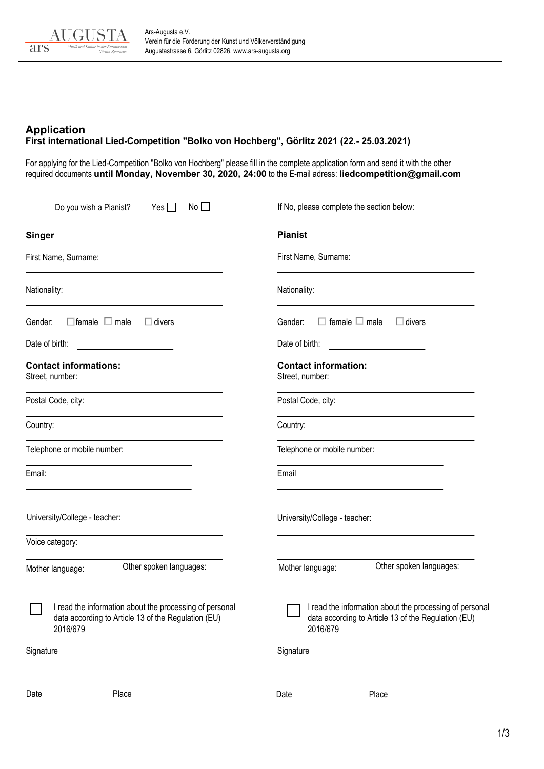

## **Application First international Lied-Competition "Bolko von Hochberg", Görlitz 2021 (22.- 25.03.2021)**

For applying for the Lied-Competition "Bolko von Hochberg" please fill in the complete application form and send it with the other required documents **until Monday, November 30, 2020, 24:00** to the E-mail adress: **liedcompetition@[gmail.com](mailto:liedcompetition@gmail.com)**

|                                                                                                                            | Do you wish a Pianist?    | Yes $\Box$              | No                                                                                                               |                               | If No, please complete the section below: |  |  |
|----------------------------------------------------------------------------------------------------------------------------|---------------------------|-------------------------|------------------------------------------------------------------------------------------------------------------|-------------------------------|-------------------------------------------|--|--|
| <b>Singer</b>                                                                                                              |                           |                         |                                                                                                                  | <b>Pianist</b>                |                                           |  |  |
| First Name, Surname:                                                                                                       |                           |                         |                                                                                                                  |                               | First Name, Surname:                      |  |  |
| Nationality:                                                                                                               |                           |                         |                                                                                                                  | Nationality:                  |                                           |  |  |
| Gender:                                                                                                                    | $\Box$ female $\Box$ male | $\Box$ divers           |                                                                                                                  | Gender:                       | female $\Box$ male<br>$\Box$ divers       |  |  |
| Date of birth:                                                                                                             |                           |                         |                                                                                                                  | Date of birth:                |                                           |  |  |
| <b>Contact informations:</b><br>Street, number:                                                                            |                           |                         |                                                                                                                  | Street, number:               | <b>Contact information:</b>               |  |  |
| Postal Code, city:                                                                                                         |                           |                         |                                                                                                                  | Postal Code, city:            |                                           |  |  |
| Country:                                                                                                                   |                           |                         |                                                                                                                  | Country:                      |                                           |  |  |
| Telephone or mobile number:                                                                                                |                           |                         |                                                                                                                  |                               | Telephone or mobile number:               |  |  |
| Email:                                                                                                                     |                           |                         |                                                                                                                  | Email                         |                                           |  |  |
| University/College - teacher:                                                                                              |                           |                         |                                                                                                                  | University/College - teacher: |                                           |  |  |
|                                                                                                                            | Voice category:           |                         |                                                                                                                  |                               |                                           |  |  |
|                                                                                                                            | Mother language:          | Other spoken languages: |                                                                                                                  | Mother language:              | Other spoken languages:                   |  |  |
| I read the information about the processing of personal<br>data according to Article 13 of the Regulation (EU)<br>2016/679 |                           | 2016/679                | □ I read the information about the processing of personal<br>data according to Article 13 of the Regulation (EU) |                               |                                           |  |  |
| Signature                                                                                                                  |                           |                         |                                                                                                                  | Signature                     |                                           |  |  |
| Date                                                                                                                       |                           | Place                   |                                                                                                                  | Date                          | Place                                     |  |  |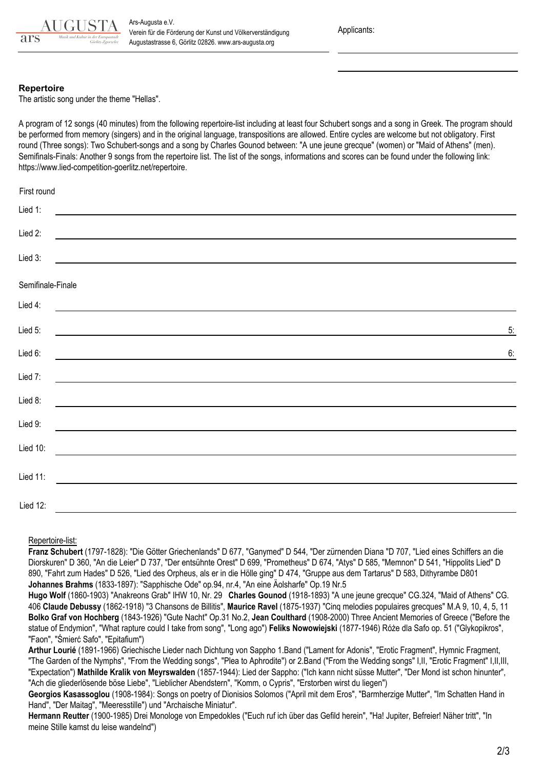

Applicants:

## **Repertoire**

The artistic song under the theme "Hellas".

A program of 12 songs (40 minutes) from the following repertoire-list including at least four Schubert songs and a song in Greek. The program should be performed from memory (singers) and in the original language, transpositions are allowed. Entire cycles are welcome but not obligatory. First round (Three songs): Two Schubert-songs and a song by Charles Gounod between: "A une jeune grecque" (women) or "Maid of Athens" (men). Semifinals-Finals: Another 9 songs from the repertoire list. The list of the songs, informations and scores can be found under the following link: https://www.lied-com[petition-goerlitz.net/repertoire.](https://www.lied-competition-goerlitz.net/repertoire)

| First round                                                                                                                     |    |
|---------------------------------------------------------------------------------------------------------------------------------|----|
| Lied 1:<br><u> 1989 - Andrea Albert III, martin amerikan bisa di sebagai pertama dan bagian pertama dan bagian pertama dan </u> |    |
| Lied 2:<br><u> 1989 - Johann Barbara, martxa alemaniar argametra (h. 1989).</u>                                                 |    |
| Lied 3:                                                                                                                         |    |
| Semifinale-Finale                                                                                                               |    |
| Lied 4:<br><u> 1989 - Johann Barnett, fransk politik (d. 1989)</u>                                                              |    |
| Lied 5:                                                                                                                         | 5: |
| Lied 6:                                                                                                                         | 6: |
| Lied 7:<br><u> 1989 - Johann Barnett, fransk politik (d. 1989)</u>                                                              |    |
| Lied 8:                                                                                                                         |    |
| Lied 9:                                                                                                                         |    |
| Lied 10:                                                                                                                        |    |
| Lied 11:                                                                                                                        |    |
| Lied 12:<br>a sa kacamatan ing Kabupatèn Kabupatèn Kabupatèn Kabupatèn Kabupatèn Kabupatèn Kabupatèn Kabupatèn Kabupatèn K      |    |

Repertoire-list:

**Franz Schubert** (1797-1828): "Die Götter Griechenlands" D 677, "Ganymed" D 544, "Der zürnenden Diana "D 707, "Lied eines Schiffers an die Diorskuren" D 360, "An die Leier" D 737, "Der entsühnte Orest" D 699, "Prometheus" D 674, "Atys" D 585, "Memnon" D 541, "Hippolits Lied" D 890, "Fahrt zum Hades" D 526, "Lied des Orpheus, als er in die Hölle ging" D 474, "Gruppe aus dem Tartarus" D 583, Dithyrambe D801 **Johannes Brahms** (1833-1897): "Sapphische Ode" op.94, nr.4, "An eine Äolsharfe" Op.19 Nr.5

**Hugo Wolf** (1860-1903) "Anakreons Grab" IHW 10, Nr. 29 **Charles Gounod** (1918-1893) "A une jeune grecque" CG.324, "Maid of Athens" CG. 406 **Claude Debussy** (1862-1918) "3 Chansons de Billitis", **Maurice Ravel** (1875-1937) "Cinq melodies populaires grecques" M.A 9, 10, 4, 5, 11 **Bolko Graf von Hochberg** (1843-1926) "Gute Nacht" Op.31 No.2, **Jean Coulthard** (1908-2000) Three Ancient Memories of Greece ("Before the statue of Endymion", "What rapture could I take from song", "Long ago") **Feliks Nowowiejski** (1877-1946) Róże dla Safo op. 51 ("Glykopikros", "Faon", "Śmierć Safo", "Epitafium")

**Arthur Lourié** (1891-1966) Griechische Lieder nach Dichtung von Sappho 1.Band ("Lament for Adonis", "Erotic Fragment", Hymnic Fragment, "The Garden of the Nymphs", "From the Wedding songs", "Plea to Aphrodite") or 2.Band ("From the Wedding songs" I,II, "Erotic Fragment" I,II,III, "Expectation") **Mathilde Kralik von Meyrswalden** (1857-1944): Lied der Sappho: ("Ich kann nicht süsse Mutter", "Der Mond ist schon hinunter", "Ach die gliederlösende böse Liebe", "Lieblicher Abendstern", "Komm, o Cypris", "Erstorben wirst du liegen")

Georgios Kasassoglou (1908-1984): Songs on poetry of Dionisios Solomos ("April mit dem Eros", "Barmherzige Mutter", "Im Schatten Hand in Hand", "Der Maitag", "Meeresstille") und "Archaische Miniatur".

**Hermann Reutter** (1900-1985) Drei Monologe von Empedokles ("Euch ruf ich über das Gefild herein", "Ha! Jupiter, Befreier! Näher tritt", "In meine Stille kamst du leise wandelnd")